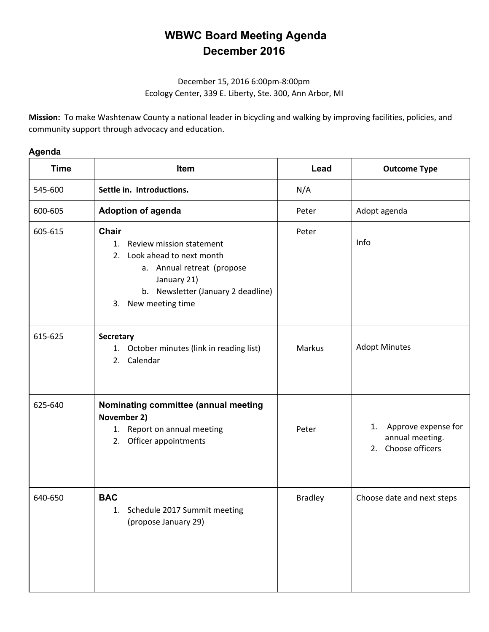## **WBWC Board Meeting Agenda December 2016**

## December 15, 2016 6:00pm-8:00pm Ecology Center, 339 E. Liberty, Ste. 300, Ann Arbor, MI

**Mission:** To make Washtenaw County a national leader in bicycling and walking by improving facilities, policies, and community support through advocacy and education.

## **Agenda**

| <b>Time</b> | Item                                                                                                                                                                                          | Lead           | <b>Outcome Type</b>                                             |
|-------------|-----------------------------------------------------------------------------------------------------------------------------------------------------------------------------------------------|----------------|-----------------------------------------------------------------|
| 545-600     | Settle in. Introductions.                                                                                                                                                                     | N/A            |                                                                 |
| 600-605     | <b>Adoption of agenda</b>                                                                                                                                                                     | Peter          | Adopt agenda                                                    |
| 605-615     | <b>Chair</b><br>Review mission statement<br>1.<br>Look ahead to next month<br>2.<br>a. Annual retreat (propose<br>January 21)<br>b. Newsletter (January 2 deadline)<br>New meeting time<br>3. | Peter          | Info                                                            |
| 615-625     | Secretary<br>1. October minutes (link in reading list)<br>2. Calendar                                                                                                                         | <b>Markus</b>  | <b>Adopt Minutes</b>                                            |
| 625-640     | Nominating committee (annual meeting<br>November 2)<br>1. Report on annual meeting<br>2. Officer appointments                                                                                 | Peter          | 1. Approve expense for<br>annual meeting.<br>2. Choose officers |
| 640-650     | <b>BAC</b><br>1. Schedule 2017 Summit meeting<br>(propose January 29)                                                                                                                         | <b>Bradley</b> | Choose date and next steps                                      |